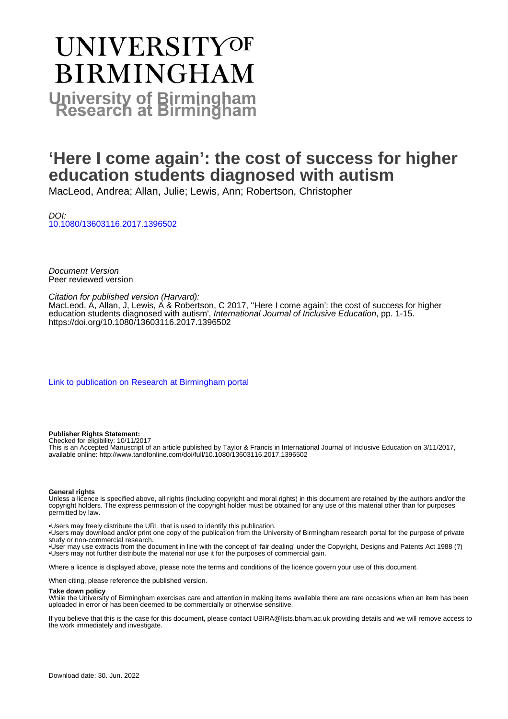# UNIVERSITYOF **BIRMINGHAM University of Birmingham**

# **'Here I come again': the cost of success for higher education students diagnosed with autism**

MacLeod, Andrea; Allan, Julie; Lewis, Ann; Robertson, Christopher

DOI: [10.1080/13603116.2017.1396502](https://doi.org/10.1080/13603116.2017.1396502)

Document Version Peer reviewed version

Citation for published version (Harvard):

MacLeod, A, Allan, J, Lewis, A & Robertson, C 2017, "Here I come again': the cost of success for higher education students diagnosed with autism', International Journal of Inclusive Education, pp. 1-15. <https://doi.org/10.1080/13603116.2017.1396502>

[Link to publication on Research at Birmingham portal](https://birmingham.elsevierpure.com/en/publications/dc58cc89-9879-48fb-8dcb-029b16d13fa5)

**Publisher Rights Statement:**

Checked for eligibility: 10/11/2017 This is an Accepted Manuscript of an article published by Taylor & Francis in International Journal of Inclusive Education on 3/11/2017, available online: http://www.tandfonline.com/doi/full/10.1080/13603116.2017.1396502

#### **General rights**

Unless a licence is specified above, all rights (including copyright and moral rights) in this document are retained by the authors and/or the copyright holders. The express permission of the copyright holder must be obtained for any use of this material other than for purposes permitted by law.

• Users may freely distribute the URL that is used to identify this publication.

• Users may download and/or print one copy of the publication from the University of Birmingham research portal for the purpose of private study or non-commercial research.

• User may use extracts from the document in line with the concept of 'fair dealing' under the Copyright, Designs and Patents Act 1988 (?) • Users may not further distribute the material nor use it for the purposes of commercial gain.

Where a licence is displayed above, please note the terms and conditions of the licence govern your use of this document.

When citing, please reference the published version.

#### **Take down policy**

While the University of Birmingham exercises care and attention in making items available there are rare occasions when an item has been uploaded in error or has been deemed to be commercially or otherwise sensitive.

If you believe that this is the case for this document, please contact UBIRA@lists.bham.ac.uk providing details and we will remove access to the work immediately and investigate.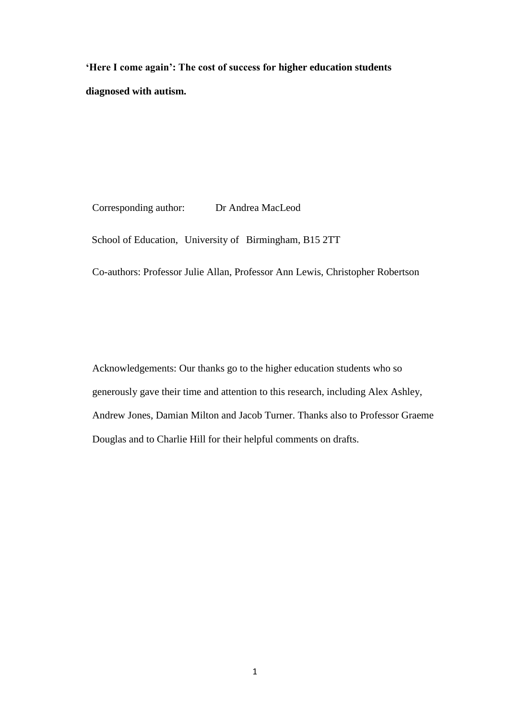**'Here I come again': The cost of success for higher education students diagnosed with autism.**

Corresponding author: Dr Andrea MacLeod

School of Education, University of Birmingham, B15 2TT

Co-authors: Professor Julie Allan, Professor Ann Lewis, Christopher Robertson

Acknowledgements: Our thanks go to the higher education students who so generously gave their time and attention to this research, including Alex Ashley, Andrew Jones, Damian Milton and Jacob Turner. Thanks also to Professor Graeme Douglas and to Charlie Hill for their helpful comments on drafts.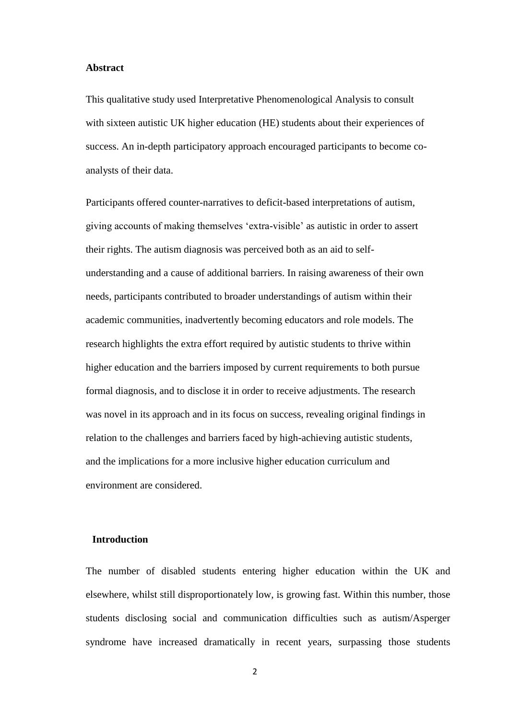#### **Abstract**

This qualitative study used Interpretative Phenomenological Analysis to consult with sixteen autistic UK higher education (HE) students about their experiences of success. An in-depth participatory approach encouraged participants to become coanalysts of their data.

Participants offered counter-narratives to deficit-based interpretations of autism, giving accounts of making themselves 'extra-visible' as autistic in order to assert their rights. The autism diagnosis was perceived both as an aid to selfunderstanding and a cause of additional barriers. In raising awareness of their own needs, participants contributed to broader understandings of autism within their academic communities, inadvertently becoming educators and role models. The research highlights the extra effort required by autistic students to thrive within higher education and the barriers imposed by current requirements to both pursue formal diagnosis, and to disclose it in order to receive adjustments. The research was novel in its approach and in its focus on success, revealing original findings in relation to the challenges and barriers faced by high-achieving autistic students, and the implications for a more inclusive higher education curriculum and environment are considered.

#### **Introduction**

The number of disabled students entering higher education within the UK and elsewhere, whilst still disproportionately low, is growing fast. Within this number, those students disclosing social and communication difficulties such as autism/Asperger syndrome have increased dramatically in recent years, surpassing those students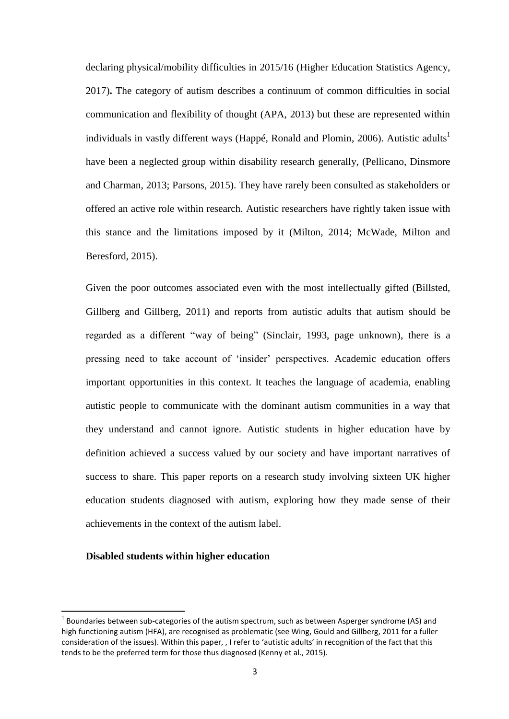declaring physical/mobility difficulties in 2015/16 (Higher Education Statistics Agency, 2017)**.** The category of autism describes a continuum of common difficulties in social communication and flexibility of thought (APA, 2013) but these are represented within individuals in vastly different ways (Happé, Ronald and Plomin,  $2006$ ). Autistic adults<sup>1</sup> have been a neglected group within disability research generally, (Pellicano, Dinsmore and Charman, 2013; Parsons, 2015). They have rarely been consulted as stakeholders or offered an active role within research. Autistic researchers have rightly taken issue with this stance and the limitations imposed by it (Milton, 2014; McWade, Milton and Beresford, 2015).

Given the poor outcomes associated even with the most intellectually gifted (Billsted, Gillberg and Gillberg, 2011) and reports from autistic adults that autism should be regarded as a different "way of being" (Sinclair, 1993, page unknown), there is a pressing need to take account of 'insider' perspectives. Academic education offers important opportunities in this context. It teaches the language of academia, enabling autistic people to communicate with the dominant autism communities in a way that they understand and cannot ignore. Autistic students in higher education have by definition achieved a success valued by our society and have important narratives of success to share. This paper reports on a research study involving sixteen UK higher education students diagnosed with autism, exploring how they made sense of their achievements in the context of the autism label.

#### **Disabled students within higher education**

1

 $^1$  Boundaries between sub-categories of the autism spectrum, such as between Asperger syndrome (AS) and high functioning autism (HFA), are recognised as problematic (see Wing, Gould and Gillberg, 2011 for a fuller consideration of the issues). Within this paper, , I refer to 'autistic adults' in recognition of the fact that this tends to be the preferred term for those thus diagnosed (Kenny et al., 2015).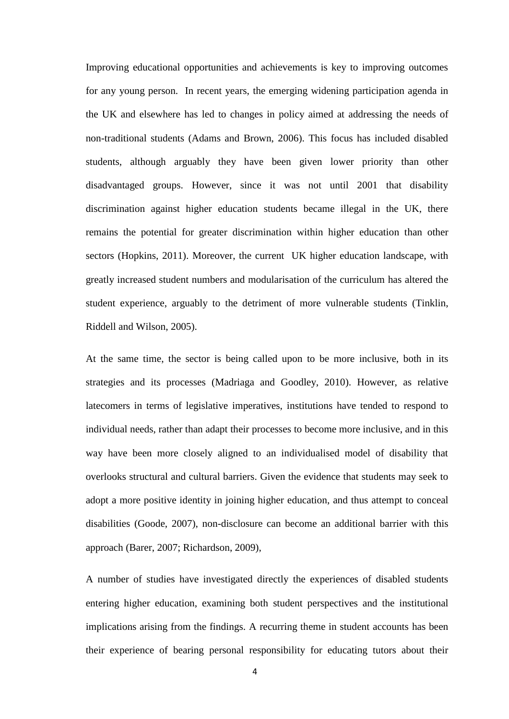Improving educational opportunities and achievements is key to improving outcomes for any young person. In recent years, the emerging widening participation agenda in the UK and elsewhere has led to changes in policy aimed at addressing the needs of non-traditional students (Adams and Brown, 2006). This focus has included disabled students, although arguably they have been given lower priority than other disadvantaged groups. However, since it was not until 2001 that disability discrimination against higher education students became illegal in the UK, there remains the potential for greater discrimination within higher education than other sectors (Hopkins, 2011). Moreover, the current UK higher education landscape, with greatly increased student numbers and modularisation of the curriculum has altered the student experience, arguably to the detriment of more vulnerable students (Tinklin, Riddell and Wilson, 2005).

At the same time, the sector is being called upon to be more inclusive, both in its strategies and its processes (Madriaga and Goodley, 2010). However, as relative latecomers in terms of legislative imperatives, institutions have tended to respond to individual needs, rather than adapt their processes to become more inclusive, and in this way have been more closely aligned to an individualised model of disability that overlooks structural and cultural barriers. Given the evidence that students may seek to adopt a more positive identity in joining higher education, and thus attempt to conceal disabilities (Goode, 2007), non-disclosure can become an additional barrier with this approach (Barer, 2007; Richardson, 2009),

A number of studies have investigated directly the experiences of disabled students entering higher education, examining both student perspectives and the institutional implications arising from the findings. A recurring theme in student accounts has been their experience of bearing personal responsibility for educating tutors about their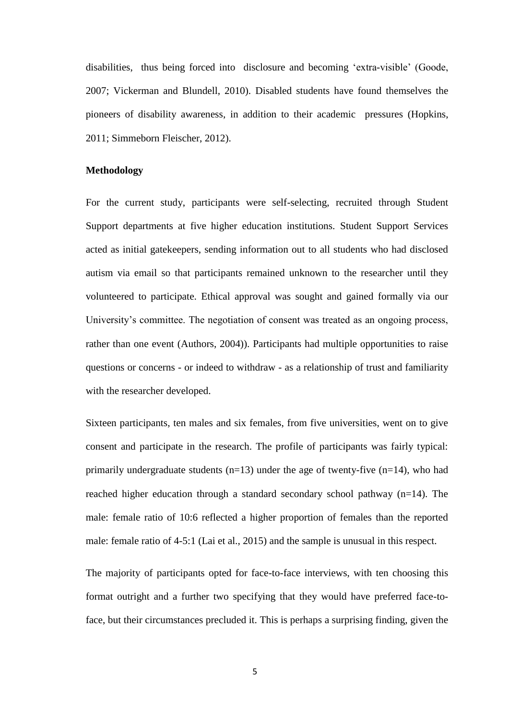disabilities, thus being forced into disclosure and becoming 'extra-visible' (Goode, 2007; Vickerman and Blundell, 2010). Disabled students have found themselves the pioneers of disability awareness, in addition to their academic pressures (Hopkins, 2011; Simmeborn Fleischer, 2012).

#### **Methodology**

For the current study, participants were self-selecting, recruited through Student Support departments at five higher education institutions. Student Support Services acted as initial gatekeepers, sending information out to all students who had disclosed autism via email so that participants remained unknown to the researcher until they volunteered to participate. Ethical approval was sought and gained formally via our University's committee. The negotiation of consent was treated as an ongoing process, rather than one event (Authors, 2004)). Participants had multiple opportunities to raise questions or concerns - or indeed to withdraw - as a relationship of trust and familiarity with the researcher developed.

Sixteen participants, ten males and six females, from five universities, went on to give consent and participate in the research. The profile of participants was fairly typical: primarily undergraduate students  $(n=13)$  under the age of twenty-five  $(n=14)$ , who had reached higher education through a standard secondary school pathway (n=14). The male: female ratio of 10:6 reflected a higher proportion of females than the reported male: female ratio of 4-5:1 (Lai et al., 2015) and the sample is unusual in this respect.

The majority of participants opted for face-to-face interviews, with ten choosing this format outright and a further two specifying that they would have preferred face-toface, but their circumstances precluded it. This is perhaps a surprising finding, given the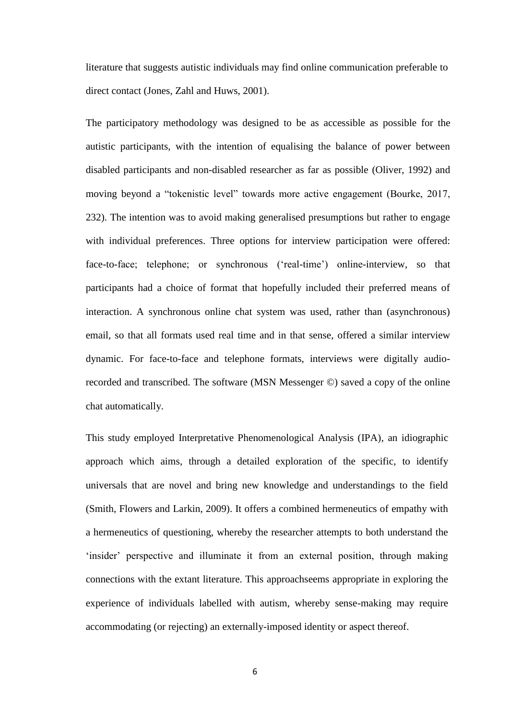literature that suggests autistic individuals may find online communication preferable to direct contact (Jones, Zahl and Huws, 2001).

The participatory methodology was designed to be as accessible as possible for the autistic participants, with the intention of equalising the balance of power between disabled participants and non-disabled researcher as far as possible (Oliver, 1992) and moving beyond a "tokenistic level" towards more active engagement (Bourke, 2017, 232). The intention was to avoid making generalised presumptions but rather to engage with individual preferences. Three options for interview participation were offered: face-to-face; telephone; or synchronous ('real-time') online-interview, so that participants had a choice of format that hopefully included their preferred means of interaction. A synchronous online chat system was used, rather than (asynchronous) email, so that all formats used real time and in that sense, offered a similar interview dynamic. For face-to-face and telephone formats, interviews were digitally audiorecorded and transcribed. The software (MSN Messenger ©) saved a copy of the online chat automatically.

This study employed Interpretative Phenomenological Analysis (IPA), an idiographic approach which aims, through a detailed exploration of the specific, to identify universals that are novel and bring new knowledge and understandings to the field (Smith, Flowers and Larkin, 2009). It offers a combined hermeneutics of empathy with a hermeneutics of questioning, whereby the researcher attempts to both understand the 'insider' perspective and illuminate it from an external position, through making connections with the extant literature. This approachseems appropriate in exploring the experience of individuals labelled with autism, whereby sense-making may require accommodating (or rejecting) an externally-imposed identity or aspect thereof.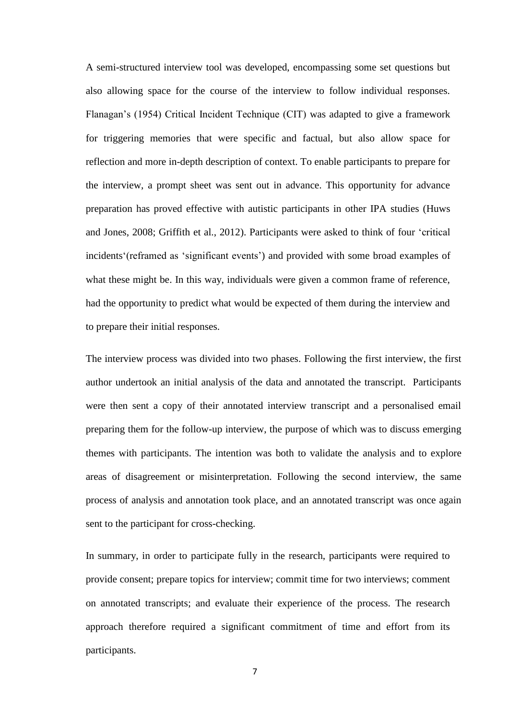A semi-structured interview tool was developed, encompassing some set questions but also allowing space for the course of the interview to follow individual responses. Flanagan's (1954) Critical Incident Technique (CIT) was adapted to give a framework for triggering memories that were specific and factual, but also allow space for reflection and more in-depth description of context. To enable participants to prepare for the interview, a prompt sheet was sent out in advance. This opportunity for advance preparation has proved effective with autistic participants in other IPA studies (Huws and Jones, 2008; Griffith et al., 2012). Participants were asked to think of four 'critical incidents'(reframed as 'significant events') and provided with some broad examples of what these might be. In this way, individuals were given a common frame of reference, had the opportunity to predict what would be expected of them during the interview and to prepare their initial responses.

The interview process was divided into two phases. Following the first interview, the first author undertook an initial analysis of the data and annotated the transcript. Participants were then sent a copy of their annotated interview transcript and a personalised email preparing them for the follow-up interview, the purpose of which was to discuss emerging themes with participants. The intention was both to validate the analysis and to explore areas of disagreement or misinterpretation. Following the second interview, the same process of analysis and annotation took place, and an annotated transcript was once again sent to the participant for cross-checking.

In summary, in order to participate fully in the research, participants were required to provide consent; prepare topics for interview; commit time for two interviews; comment on annotated transcripts; and evaluate their experience of the process. The research approach therefore required a significant commitment of time and effort from its participants.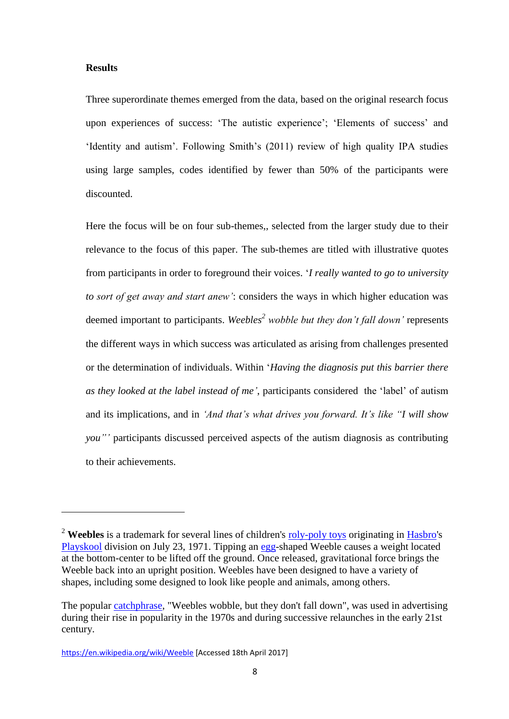#### **Results**

1

Three superordinate themes emerged from the data, based on the original research focus upon experiences of success: 'The autistic experience'; 'Elements of success' and 'Identity and autism'. Following Smith's (2011) review of high quality IPA studies using large samples, codes identified by fewer than 50% of the participants were discounted.

Here the focus will be on four sub-themes,, selected from the larger study due to their relevance to the focus of this paper. The sub-themes are titled with illustrative quotes from participants in order to foreground their voices. '*I really wanted to go to university to sort of get away and start anew'*: considers the ways in which higher education was deemed important to participants. *Weebles<sup>2</sup> wobble but they don't fall down'* represents the different ways in which success was articulated as arising from challenges presented or the determination of individuals. Within '*Having the diagnosis put this barrier there as they looked at the label instead of me'*, participants considered the 'label' of autism and its implications, and in *'And that's what drives you forward. It's like "I will show you"'* participants discussed perceived aspects of the autism diagnosis as contributing to their achievements.

<sup>&</sup>lt;sup>2</sup> Weebles is a trademark for several lines of children's [roly-poly toys](https://en.wikipedia.org/wiki/Roly-poly_toy) originating in [Hasbro's](https://en.wikipedia.org/wiki/Hasbro) [Playskool](https://en.wikipedia.org/wiki/Playskool) division on July 23, 1971. Tipping an [egg-](https://en.wikipedia.org/wiki/Egg_(biology))shaped Weeble causes a weight located at the bottom-center to be lifted off the ground. Once released, gravitational force brings the Weeble back into an upright position. Weebles have been designed to have a variety of shapes, including some designed to look like people and animals, among others.

The popular [catchphrase,](https://en.wikipedia.org/wiki/Catchphrase) "Weebles wobble, but they don't fall down", was used in advertising during their rise in popularity in the 1970s and during successive relaunches in the early 21st century.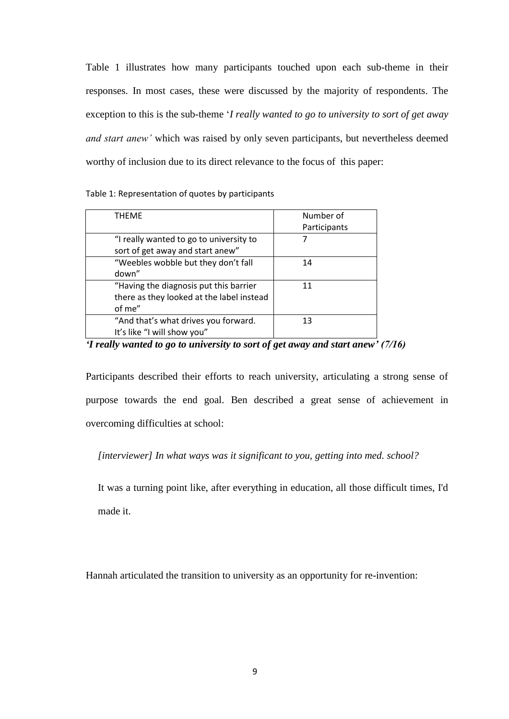Table 1 illustrates how many participants touched upon each sub-theme in their responses. In most cases, these were discussed by the majority of respondents. The exception to this is the sub-theme '*I really wanted to go to university to sort of get away and start anew'* which was raised by only seven participants, but nevertheless deemed worthy of inclusion due to its direct relevance to the focus of this paper:

Table 1: Representation of quotes by participants

| <b>THFMF</b>                                                                                  | Number of<br>Participants |
|-----------------------------------------------------------------------------------------------|---------------------------|
| "I really wanted to go to university to<br>sort of get away and start anew"                   |                           |
| "Weebles wobble but they don't fall<br>down"                                                  | 14                        |
| "Having the diagnosis put this barrier<br>there as they looked at the label instead<br>of me" | 11                        |
| "And that's what drives you forward.<br>It's like "I will show you"                           | 13                        |

*'I really wanted to go to university to sort of get away and start anew' (7/16)*

Participants described their efforts to reach university, articulating a strong sense of purpose towards the end goal. Ben described a great sense of achievement in overcoming difficulties at school:

*[interviewer] In what ways was it significant to you, getting into med. school?*

It was a turning point like, after everything in education, all those difficult times, I'd made it.

Hannah articulated the transition to university as an opportunity for re-invention: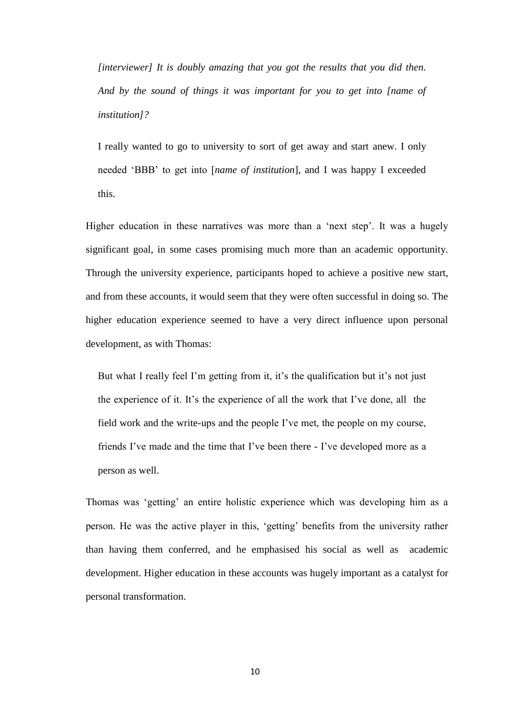*[interviewer] It is doubly amazing that you got the results that you did then. And by the sound of things it was important for you to get into [name of institution]?*

I really wanted to go to university to sort of get away and start anew. I only needed 'BBB' to get into [*name of institution*], and I was happy I exceeded this.

Higher education in these narratives was more than a 'next step'. It was a hugely significant goal, in some cases promising much more than an academic opportunity. Through the university experience, participants hoped to achieve a positive new start, and from these accounts, it would seem that they were often successful in doing so. The higher education experience seemed to have a very direct influence upon personal development, as with Thomas:

But what I really feel I'm getting from it, it's the qualification but it's not just the experience of it. It's the experience of all the work that I've done, all the field work and the write-ups and the people I've met, the people on my course, friends I've made and the time that I've been there - I've developed more as a person as well.

Thomas was 'getting' an entire holistic experience which was developing him as a person. He was the active player in this, 'getting' benefits from the university rather than having them conferred, and he emphasised his social as well as academic development. Higher education in these accounts was hugely important as a catalyst for personal transformation.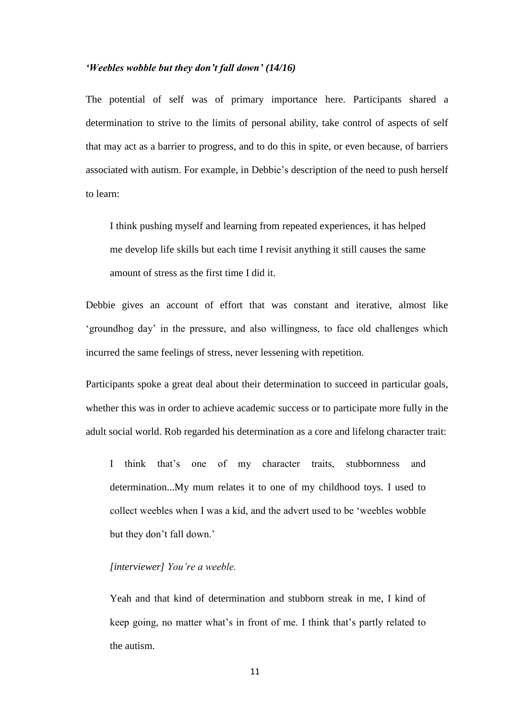#### *'Weebles wobble but they don't fall down' (14/16)*

The potential of self was of primary importance here. Participants shared a determination to strive to the limits of personal ability, take control of aspects of self that may act as a barrier to progress, and to do this in spite, or even because, of barriers associated with autism. For example, in Debbie's description of the need to push herself to learn:

I think pushing myself and learning from repeated experiences, it has helped me develop life skills but each time I revisit anything it still causes the same amount of stress as the first time I did it.

Debbie gives an account of effort that was constant and iterative, almost like 'groundhog day' in the pressure, and also willingness, to face old challenges which incurred the same feelings of stress, never lessening with repetition.

Participants spoke a great deal about their determination to succeed in particular goals, whether this was in order to achieve academic success or to participate more fully in the adult social world. Rob regarded his determination as a core and lifelong character trait:

I think that's one of my character traits, stubbornness and determination...My mum relates it to one of my childhood toys. I used to collect weebles when I was a kid, and the advert used to be 'weebles wobble but they don't fall down.'

## *[interviewer] You're a weeble.*

Yeah and that kind of determination and stubborn streak in me, I kind of keep going, no matter what's in front of me. I think that's partly related to the autism.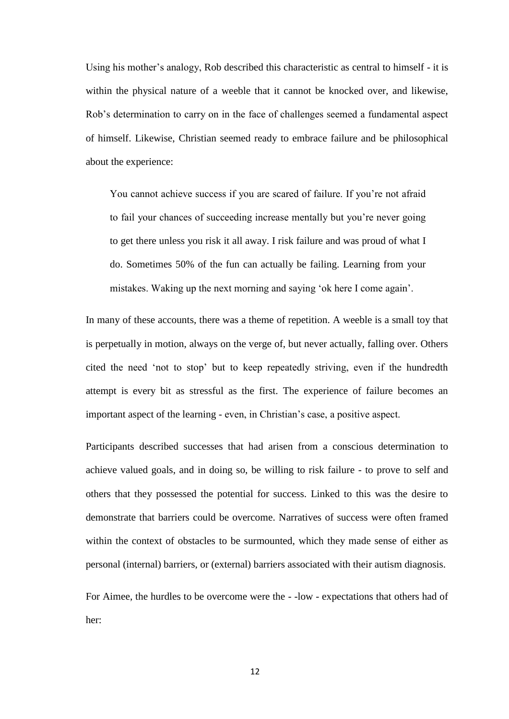Using his mother's analogy, Rob described this characteristic as central to himself - it is within the physical nature of a weeble that it cannot be knocked over, and likewise, Rob's determination to carry on in the face of challenges seemed a fundamental aspect of himself. Likewise, Christian seemed ready to embrace failure and be philosophical about the experience:

You cannot achieve success if you are scared of failure. If you're not afraid to fail your chances of succeeding increase mentally but you're never going to get there unless you risk it all away. I risk failure and was proud of what I do. Sometimes 50% of the fun can actually be failing. Learning from your mistakes. Waking up the next morning and saying 'ok here I come again'.

In many of these accounts, there was a theme of repetition. A weeble is a small toy that is perpetually in motion, always on the verge of, but never actually, falling over. Others cited the need 'not to stop' but to keep repeatedly striving, even if the hundredth attempt is every bit as stressful as the first. The experience of failure becomes an important aspect of the learning - even, in Christian's case, a positive aspect.

Participants described successes that had arisen from a conscious determination to achieve valued goals, and in doing so, be willing to risk failure - to prove to self and others that they possessed the potential for success. Linked to this was the desire to demonstrate that barriers could be overcome. Narratives of success were often framed within the context of obstacles to be surmounted, which they made sense of either as personal (internal) barriers, or (external) barriers associated with their autism diagnosis.

For Aimee, the hurdles to be overcome were the - -low - expectations that others had of her: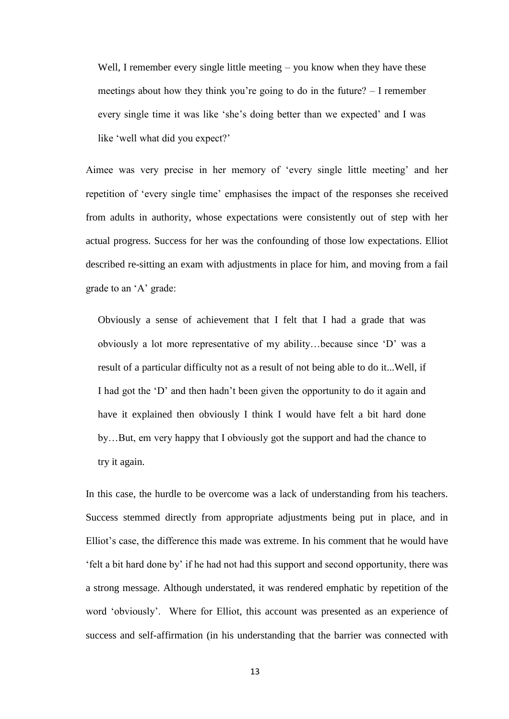Well, I remember every single little meeting – you know when they have these meetings about how they think you're going to do in the future? – I remember every single time it was like 'she's doing better than we expected' and I was like 'well what did you expect?'

Aimee was very precise in her memory of 'every single little meeting' and her repetition of 'every single time' emphasises the impact of the responses she received from adults in authority, whose expectations were consistently out of step with her actual progress. Success for her was the confounding of those low expectations. Elliot described re-sitting an exam with adjustments in place for him, and moving from a fail grade to an 'A' grade:

Obviously a sense of achievement that I felt that I had a grade that was obviously a lot more representative of my ability…because since 'D' was a result of a particular difficulty not as a result of not being able to do it...Well, if I had got the 'D' and then hadn't been given the opportunity to do it again and have it explained then obviously I think I would have felt a bit hard done by…But, em very happy that I obviously got the support and had the chance to try it again.

In this case, the hurdle to be overcome was a lack of understanding from his teachers. Success stemmed directly from appropriate adjustments being put in place, and in Elliot's case, the difference this made was extreme. In his comment that he would have 'felt a bit hard done by' if he had not had this support and second opportunity, there was a strong message. Although understated, it was rendered emphatic by repetition of the word 'obviously'. Where for Elliot, this account was presented as an experience of success and self-affirmation (in his understanding that the barrier was connected with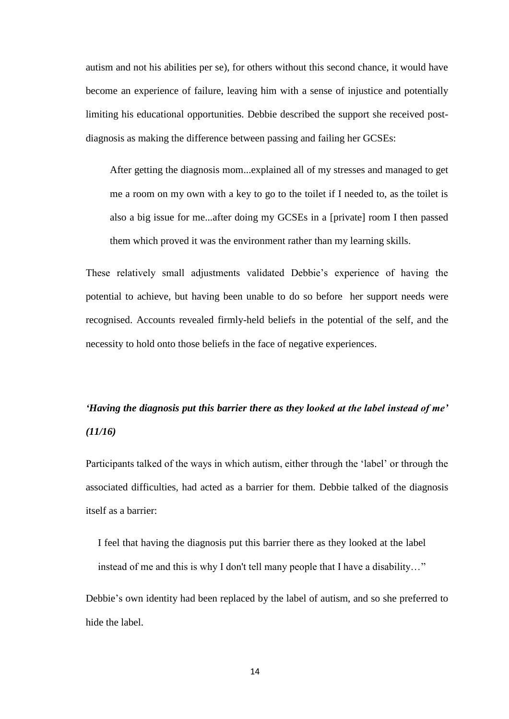autism and not his abilities per se), for others without this second chance, it would have become an experience of failure, leaving him with a sense of injustice and potentially limiting his educational opportunities. Debbie described the support she received postdiagnosis as making the difference between passing and failing her GCSEs:

After getting the diagnosis mom...explained all of my stresses and managed to get me a room on my own with a key to go to the toilet if I needed to, as the toilet is also a big issue for me...after doing my GCSEs in a [private] room I then passed them which proved it was the environment rather than my learning skills.

These relatively small adjustments validated Debbie's experience of having the potential to achieve, but having been unable to do so before her support needs were recognised. Accounts revealed firmly-held beliefs in the potential of the self, and the necessity to hold onto those beliefs in the face of negative experiences.

## *'Having the diagnosis put this barrier there as they looked at the label instead of me' (11/16)*

Participants talked of the ways in which autism, either through the 'label' or through the associated difficulties, had acted as a barrier for them. Debbie talked of the diagnosis itself as a barrier:

I feel that having the diagnosis put this barrier there as they looked at the label instead of me and this is why I don't tell many people that I have a disability…"

Debbie's own identity had been replaced by the label of autism, and so she preferred to hide the label.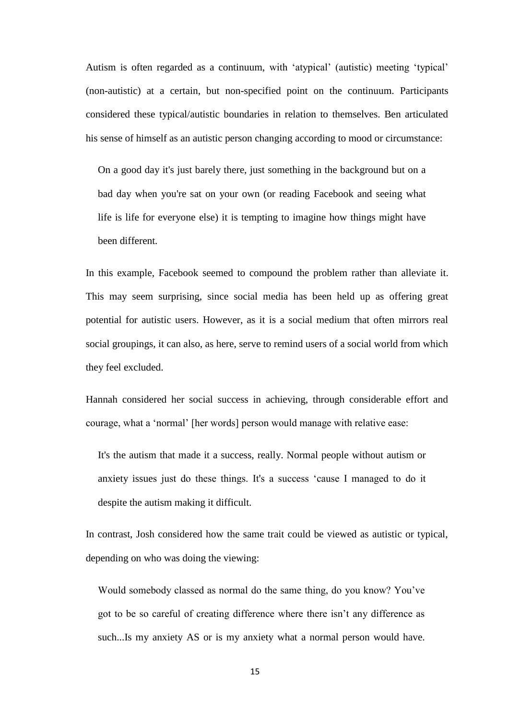Autism is often regarded as a continuum, with 'atypical' (autistic) meeting 'typical' (non-autistic) at a certain, but non-specified point on the continuum. Participants considered these typical/autistic boundaries in relation to themselves. Ben articulated his sense of himself as an autistic person changing according to mood or circumstance:

On a good day it's just barely there, just something in the background but on a bad day when you're sat on your own (or reading Facebook and seeing what life is life for everyone else) it is tempting to imagine how things might have been different.

In this example, Facebook seemed to compound the problem rather than alleviate it. This may seem surprising, since social media has been held up as offering great potential for autistic users. However, as it is a social medium that often mirrors real social groupings, it can also, as here, serve to remind users of a social world from which they feel excluded.

Hannah considered her social success in achieving, through considerable effort and courage, what a 'normal' [her words] person would manage with relative ease:

It's the autism that made it a success, really. Normal people without autism or anxiety issues just do these things. It's a success 'cause I managed to do it despite the autism making it difficult.

In contrast, Josh considered how the same trait could be viewed as autistic or typical, depending on who was doing the viewing:

Would somebody classed as normal do the same thing, do you know? You've got to be so careful of creating difference where there isn't any difference as such...Is my anxiety AS or is my anxiety what a normal person would have.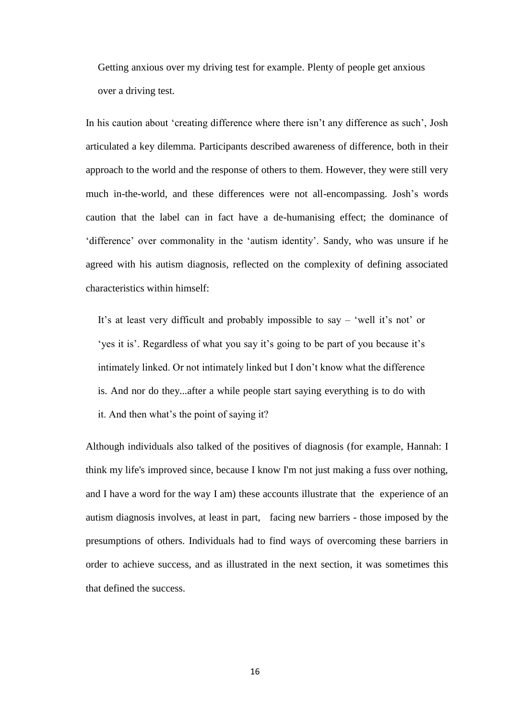Getting anxious over my driving test for example. Plenty of people get anxious over a driving test.

In his caution about 'creating difference where there isn't any difference as such', Josh articulated a key dilemma. Participants described awareness of difference, both in their approach to the world and the response of others to them. However, they were still very much in-the-world, and these differences were not all-encompassing. Josh's words caution that the label can in fact have a de-humanising effect; the dominance of 'difference' over commonality in the 'autism identity'. Sandy, who was unsure if he agreed with his autism diagnosis, reflected on the complexity of defining associated characteristics within himself:

It's at least very difficult and probably impossible to say – 'well it's not' or 'yes it is'. Regardless of what you say it's going to be part of you because it's intimately linked. Or not intimately linked but I don't know what the difference is. And nor do they...after a while people start saying everything is to do with it. And then what's the point of saying it?

Although individuals also talked of the positives of diagnosis (for example, Hannah: I think my life's improved since, because I know I'm not just making a fuss over nothing, and I have a word for the way I am) these accounts illustrate that the experience of an autism diagnosis involves, at least in part, facing new barriers - those imposed by the presumptions of others. Individuals had to find ways of overcoming these barriers in order to achieve success, and as illustrated in the next section, it was sometimes this that defined the success.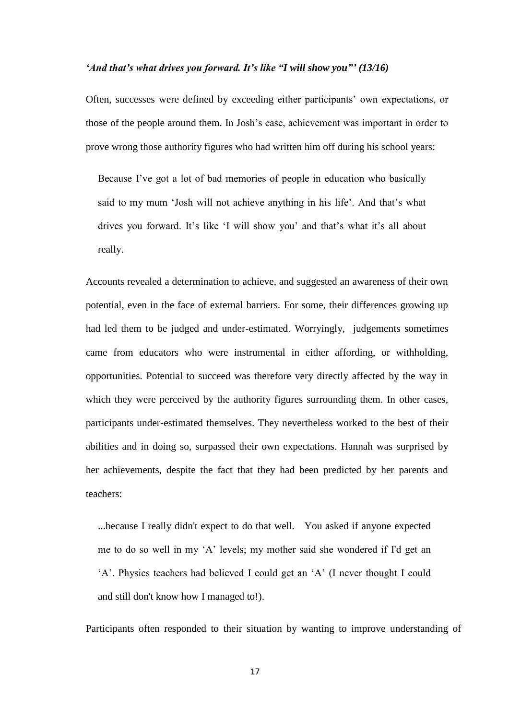#### *'And that's what drives you forward. It's like "I will show you"' (13/16)*

Often, successes were defined by exceeding either participants' own expectations, or those of the people around them. In Josh's case, achievement was important in order to prove wrong those authority figures who had written him off during his school years:

Because I've got a lot of bad memories of people in education who basically said to my mum 'Josh will not achieve anything in his life'. And that's what drives you forward. It's like 'I will show you' and that's what it's all about really.

Accounts revealed a determination to achieve, and suggested an awareness of their own potential, even in the face of external barriers. For some, their differences growing up had led them to be judged and under-estimated. Worryingly, judgements sometimes came from educators who were instrumental in either affording, or withholding, opportunities. Potential to succeed was therefore very directly affected by the way in which they were perceived by the authority figures surrounding them. In other cases, participants under-estimated themselves. They nevertheless worked to the best of their abilities and in doing so, surpassed their own expectations. Hannah was surprised by her achievements, despite the fact that they had been predicted by her parents and teachers:

...because I really didn't expect to do that well. You asked if anyone expected me to do so well in my 'A' levels; my mother said she wondered if I'd get an 'A'. Physics teachers had believed I could get an 'A' (I never thought I could and still don't know how I managed to!).

Participants often responded to their situation by wanting to improve understanding of

17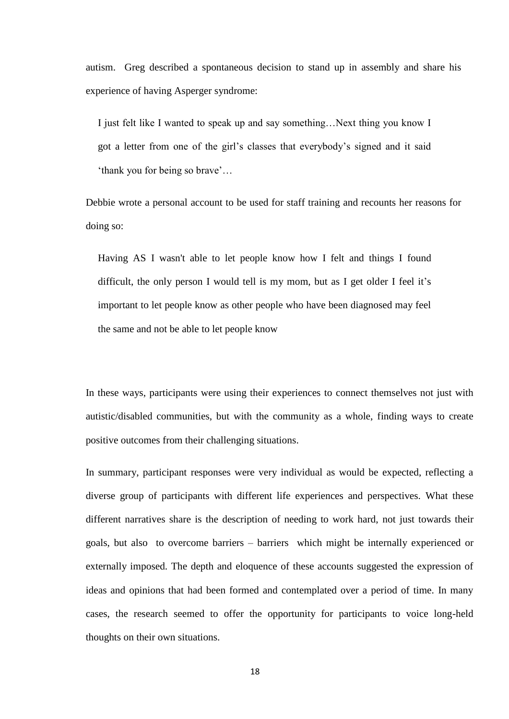autism. Greg described a spontaneous decision to stand up in assembly and share his experience of having Asperger syndrome:

I just felt like I wanted to speak up and say something…Next thing you know I got a letter from one of the girl's classes that everybody's signed and it said 'thank you for being so brave'…

Debbie wrote a personal account to be used for staff training and recounts her reasons for doing so:

Having AS I wasn't able to let people know how I felt and things I found difficult, the only person I would tell is my mom, but as I get older I feel it's important to let people know as other people who have been diagnosed may feel the same and not be able to let people know

In these ways, participants were using their experiences to connect themselves not just with autistic/disabled communities, but with the community as a whole, finding ways to create positive outcomes from their challenging situations.

In summary, participant responses were very individual as would be expected, reflecting a diverse group of participants with different life experiences and perspectives. What these different narratives share is the description of needing to work hard, not just towards their goals, but also to overcome barriers – barriers which might be internally experienced or externally imposed. The depth and eloquence of these accounts suggested the expression of ideas and opinions that had been formed and contemplated over a period of time. In many cases, the research seemed to offer the opportunity for participants to voice long-held thoughts on their own situations.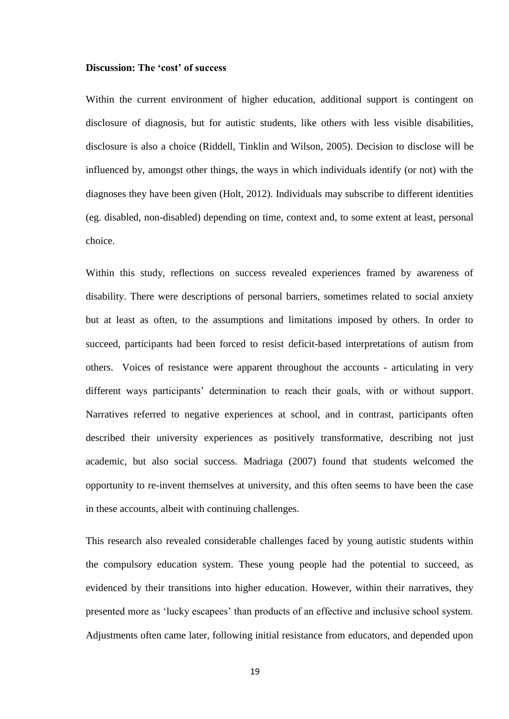#### **Discussion: The 'cost' of success**

Within the current environment of higher education, additional support is contingent on disclosure of diagnosis, but for autistic students, like others with less visible disabilities, disclosure is also a choice (Riddell, Tinklin and Wilson, 2005). Decision to disclose will be influenced by, amongst other things, the ways in which individuals identify (or not) with the diagnoses they have been given (Holt, 2012). Individuals may subscribe to different identities (eg. disabled, non-disabled) depending on time, context and, to some extent at least, personal choice.

Within this study, reflections on success revealed experiences framed by awareness of disability. There were descriptions of personal barriers, sometimes related to social anxiety but at least as often, to the assumptions and limitations imposed by others. In order to succeed, participants had been forced to resist deficit-based interpretations of autism from others. Voices of resistance were apparent throughout the accounts - articulating in very different ways participants' determination to reach their goals, with or without support. Narratives referred to negative experiences at school, and in contrast, participants often described their university experiences as positively transformative, describing not just academic, but also social success. Madriaga (2007) found that students welcomed the opportunity to re-invent themselves at university, and this often seems to have been the case in these accounts, albeit with continuing challenges.

This research also revealed considerable challenges faced by young autistic students within the compulsory education system. These young people had the potential to succeed, as evidenced by their transitions into higher education. However, within their narratives, they presented more as 'lucky escapees' than products of an effective and inclusive school system. Adjustments often came later, following initial resistance from educators, and depended upon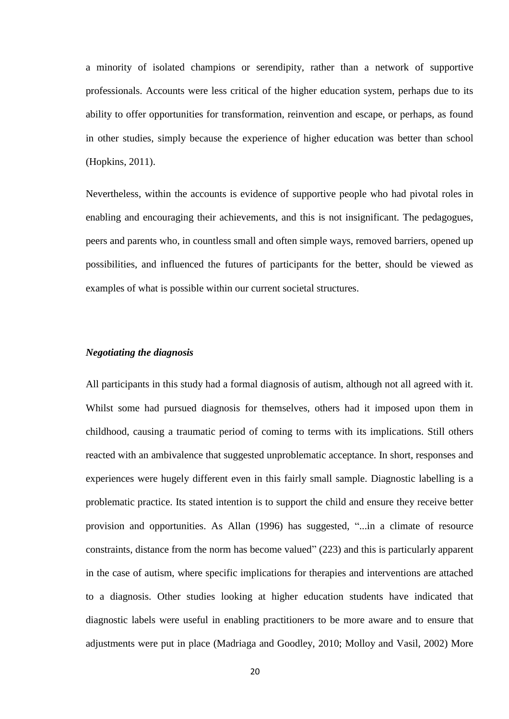a minority of isolated champions or serendipity, rather than a network of supportive professionals. Accounts were less critical of the higher education system, perhaps due to its ability to offer opportunities for transformation, reinvention and escape, or perhaps, as found in other studies, simply because the experience of higher education was better than school (Hopkins, 2011).

Nevertheless, within the accounts is evidence of supportive people who had pivotal roles in enabling and encouraging their achievements, and this is not insignificant. The pedagogues, peers and parents who, in countless small and often simple ways, removed barriers, opened up possibilities, and influenced the futures of participants for the better, should be viewed as examples of what is possible within our current societal structures.

#### *Negotiating the diagnosis*

All participants in this study had a formal diagnosis of autism, although not all agreed with it. Whilst some had pursued diagnosis for themselves, others had it imposed upon them in childhood, causing a traumatic period of coming to terms with its implications. Still others reacted with an ambivalence that suggested unproblematic acceptance. In short, responses and experiences were hugely different even in this fairly small sample. Diagnostic labelling is a problematic practice. Its stated intention is to support the child and ensure they receive better provision and opportunities. As Allan (1996) has suggested, "...in a climate of resource constraints, distance from the norm has become valued" (223) and this is particularly apparent in the case of autism, where specific implications for therapies and interventions are attached to a diagnosis. Other studies looking at higher education students have indicated that diagnostic labels were useful in enabling practitioners to be more aware and to ensure that adjustments were put in place (Madriaga and Goodley, 2010; Molloy and Vasil, 2002) More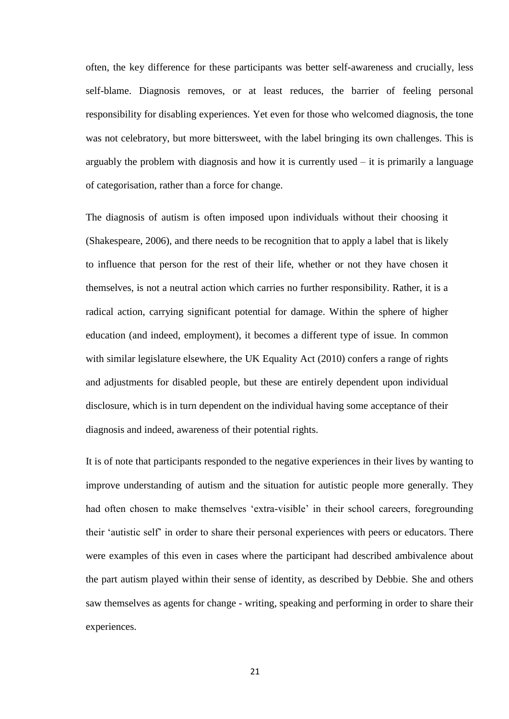often, the key difference for these participants was better self-awareness and crucially, less self-blame. Diagnosis removes, or at least reduces, the barrier of feeling personal responsibility for disabling experiences. Yet even for those who welcomed diagnosis, the tone was not celebratory, but more bittersweet, with the label bringing its own challenges. This is arguably the problem with diagnosis and how it is currently used  $-$  it is primarily a language of categorisation, rather than a force for change.

The diagnosis of autism is often imposed upon individuals without their choosing it (Shakespeare, 2006), and there needs to be recognition that to apply a label that is likely to influence that person for the rest of their life, whether or not they have chosen it themselves, is not a neutral action which carries no further responsibility. Rather, it is a radical action, carrying significant potential for damage. Within the sphere of higher education (and indeed, employment), it becomes a different type of issue. In common with similar legislature elsewhere, the UK Equality Act (2010) confers a range of rights and adjustments for disabled people, but these are entirely dependent upon individual disclosure, which is in turn dependent on the individual having some acceptance of their diagnosis and indeed, awareness of their potential rights.

It is of note that participants responded to the negative experiences in their lives by wanting to improve understanding of autism and the situation for autistic people more generally. They had often chosen to make themselves 'extra-visible' in their school careers, foregrounding their 'autistic self' in order to share their personal experiences with peers or educators. There were examples of this even in cases where the participant had described ambivalence about the part autism played within their sense of identity, as described by Debbie. She and others saw themselves as agents for change - writing, speaking and performing in order to share their experiences.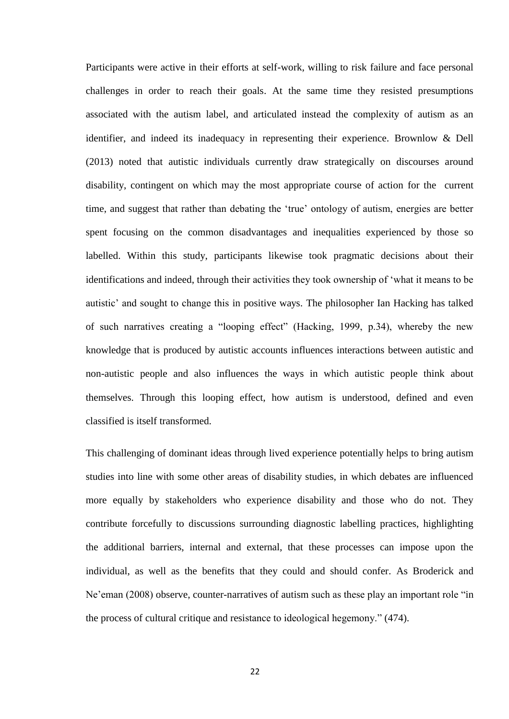Participants were active in their efforts at self-work, willing to risk failure and face personal challenges in order to reach their goals. At the same time they resisted presumptions associated with the autism label, and articulated instead the complexity of autism as an identifier, and indeed its inadequacy in representing their experience. Brownlow & Dell (2013) noted that autistic individuals currently draw strategically on discourses around disability, contingent on which may the most appropriate course of action for the current time, and suggest that rather than debating the 'true' ontology of autism, energies are better spent focusing on the common disadvantages and inequalities experienced by those so labelled. Within this study, participants likewise took pragmatic decisions about their identifications and indeed, through their activities they took ownership of 'what it means to be autistic' and sought to change this in positive ways. The philosopher Ian Hacking has talked of such narratives creating a "looping effect" (Hacking, 1999, p.34), whereby the new knowledge that is produced by autistic accounts influences interactions between autistic and non-autistic people and also influences the ways in which autistic people think about themselves. Through this looping effect, how autism is understood, defined and even classified is itself transformed.

This challenging of dominant ideas through lived experience potentially helps to bring autism studies into line with some other areas of disability studies, in which debates are influenced more equally by stakeholders who experience disability and those who do not. They contribute forcefully to discussions surrounding diagnostic labelling practices, highlighting the additional barriers, internal and external, that these processes can impose upon the individual, as well as the benefits that they could and should confer. As Broderick and Ne'eman (2008) observe, counter-narratives of autism such as these play an important role "in the process of cultural critique and resistance to ideological hegemony." (474).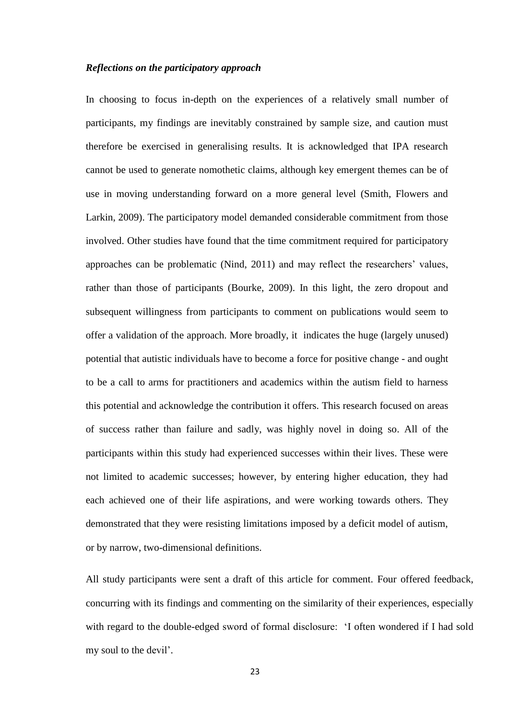#### *Reflections on the participatory approach*

In choosing to focus in-depth on the experiences of a relatively small number of participants, my findings are inevitably constrained by sample size, and caution must therefore be exercised in generalising results. It is acknowledged that IPA research cannot be used to generate nomothetic claims, although key emergent themes can be of use in moving understanding forward on a more general level (Smith, Flowers and Larkin, 2009). The participatory model demanded considerable commitment from those involved. Other studies have found that the time commitment required for participatory approaches can be problematic (Nind, 2011) and may reflect the researchers' values, rather than those of participants (Bourke, 2009). In this light, the zero dropout and subsequent willingness from participants to comment on publications would seem to offer a validation of the approach. More broadly, it indicates the huge (largely unused) potential that autistic individuals have to become a force for positive change - and ought to be a call to arms for practitioners and academics within the autism field to harness this potential and acknowledge the contribution it offers. This research focused on areas of success rather than failure and sadly, was highly novel in doing so. All of the participants within this study had experienced successes within their lives. These were not limited to academic successes; however, by entering higher education, they had each achieved one of their life aspirations, and were working towards others. They demonstrated that they were resisting limitations imposed by a deficit model of autism, or by narrow, two-dimensional definitions.

All study participants were sent a draft of this article for comment. Four offered feedback, concurring with its findings and commenting on the similarity of their experiences, especially with regard to the double-edged sword of formal disclosure: 'I often wondered if I had sold my soul to the devil'.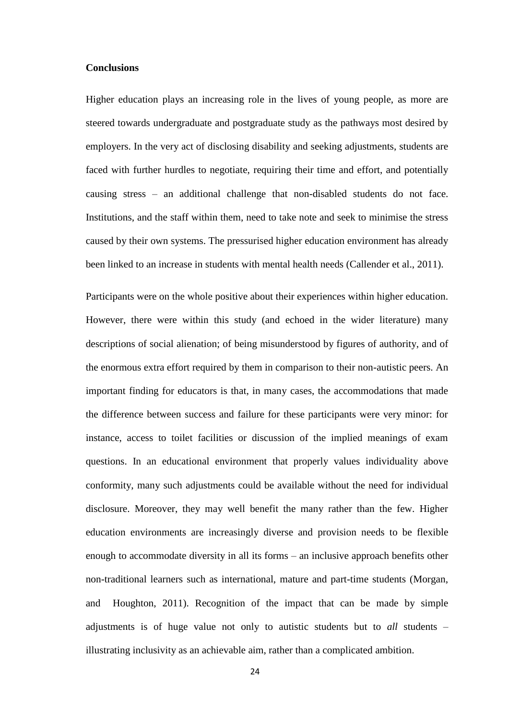#### **Conclusions**

Higher education plays an increasing role in the lives of young people, as more are steered towards undergraduate and postgraduate study as the pathways most desired by employers. In the very act of disclosing disability and seeking adjustments, students are faced with further hurdles to negotiate, requiring their time and effort, and potentially causing stress – an additional challenge that non-disabled students do not face. Institutions, and the staff within them, need to take note and seek to minimise the stress caused by their own systems. The pressurised higher education environment has already been linked to an increase in students with mental health needs (Callender et al., 2011).

Participants were on the whole positive about their experiences within higher education. However, there were within this study (and echoed in the wider literature) many descriptions of social alienation; of being misunderstood by figures of authority, and of the enormous extra effort required by them in comparison to their non-autistic peers. An important finding for educators is that, in many cases, the accommodations that made the difference between success and failure for these participants were very minor: for instance, access to toilet facilities or discussion of the implied meanings of exam questions. In an educational environment that properly values individuality above conformity, many such adjustments could be available without the need for individual disclosure. Moreover, they may well benefit the many rather than the few. Higher education environments are increasingly diverse and provision needs to be flexible enough to accommodate diversity in all its forms – an inclusive approach benefits other non-traditional learners such as international, mature and part-time students (Morgan, and Houghton, 2011). Recognition of the impact that can be made by simple adjustments is of huge value not only to autistic students but to *all* students – illustrating inclusivity as an achievable aim, rather than a complicated ambition.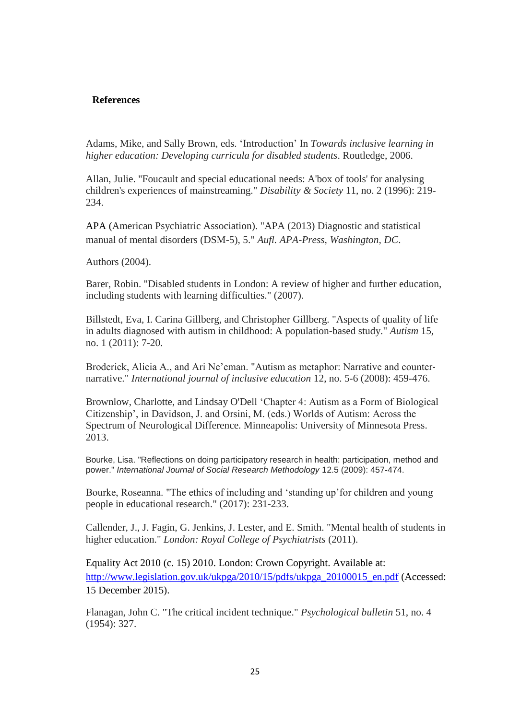## **References**

Adams, Mike, and Sally Brown, eds. 'Introduction' In *Towards inclusive learning in higher education: Developing curricula for disabled students*. Routledge, 2006.

Allan, Julie. "Foucault and special educational needs: A'box of tools' for analysing children's experiences of mainstreaming." *Disability & Society* 11, no. 2 (1996): 219- 234.

APA (American Psychiatric Association). "APA (2013) Diagnostic and statistical manual of mental disorders (DSM-5), 5." *Aufl. APA-Press, Washington, DC*.

Authors (2004).

Barer, Robin. "Disabled students in London: A review of higher and further education, including students with learning difficulties." (2007).

Billstedt, Eva, I. Carina Gillberg, and Christopher Gillberg. "Aspects of quality of life in adults diagnosed with autism in childhood: A population-based study." *Autism* 15, no. 1 (2011): 7-20.

Broderick, Alicia A., and Ari Ne'eman. "Autism as metaphor: Narrative and counternarrative." *International journal of inclusive education* 12, no. 5-6 (2008): 459-476.

Brownlow, Charlotte, and Lindsay O'Dell 'Chapter 4: Autism as a Form of Biological Citizenship', in Davidson, J. and Orsini, M. (eds.) Worlds of Autism: Across the Spectrum of Neurological Difference. Minneapolis: University of Minnesota Press. 2013.

Bourke, Lisa. "Reflections on doing participatory research in health: participation, method and power." *International Journal of Social Research Methodology* 12.5 (2009): 457-474.

Bourke, Roseanna. "The ethics of including and 'standing up'for children and young people in educational research." (2017): 231-233.

Callender, J., J. Fagin, G. Jenkins, J. Lester, and E. Smith. "Mental health of students in higher education." *London: Royal College of Psychiatrists* (2011).

Equality Act 2010 (c. 15) 2010. London: Crown Copyright. Available at: [http://www.legislation.gov.uk/ukpga/2010/15/pdfs/ukpga\\_20100015\\_en.pdf](http://www.legislation.gov.uk/ukpga/2010/15/pdfs/ukpga_20100015_en.pdf) (Accessed: 15 December 2015).

Flanagan, John C. "The critical incident technique." *Psychological bulletin* 51, no. 4 (1954): 327.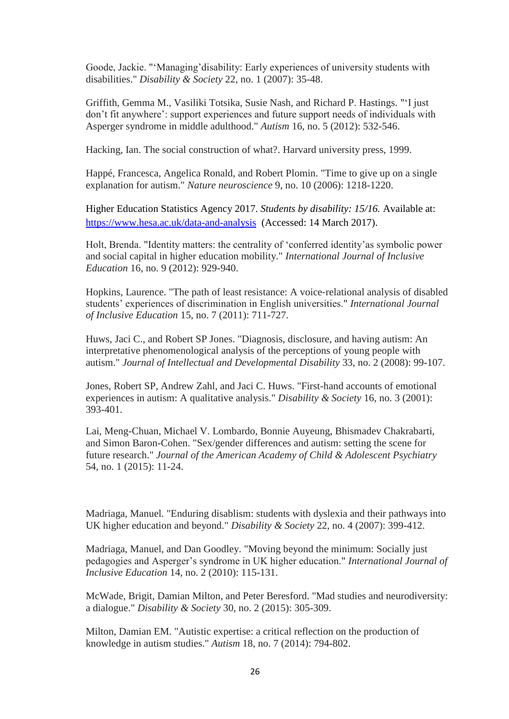Goode, Jackie. "'Managing'disability: Early experiences of university students with disabilities." *Disability & Society* 22, no. 1 (2007): 35-48.

Griffith, Gemma M., Vasiliki Totsika, Susie Nash, and Richard P. Hastings. "'I just don't fit anywhere': support experiences and future support needs of individuals with Asperger syndrome in middle adulthood." *Autism* 16, no. 5 (2012): 532-546.

Hacking, Ian. The social construction of what?. Harvard university press, 1999.

Happé, Francesca, Angelica Ronald, and Robert Plomin. "Time to give up on a single explanation for autism." *Nature neuroscience* 9, no. 10 (2006): 1218-1220.

Higher Education Statistics Agency 2017. *Students by disability: 15/16.* Available at: <https://www.hesa.ac.uk/data-and-analysis> (Accessed: 14 March 2017).

Holt, Brenda. "Identity matters: the centrality of 'conferred identity'as symbolic power and social capital in higher education mobility." *International Journal of Inclusive Education* 16, no. 9 (2012): 929-940.

Hopkins, Laurence. "The path of least resistance: A voice‐relational analysis of disabled students' experiences of discrimination in English universities." *International Journal of Inclusive Education* 15, no. 7 (2011): 711-727.

Huws, Jaci C., and Robert SP Jones. "Diagnosis, disclosure, and having autism: An interpretative phenomenological analysis of the perceptions of young people with autism." *Journal of Intellectual and Developmental Disability* 33, no. 2 (2008): 99-107.

Jones, Robert SP, Andrew Zahl, and Jaci C. Huws. "First-hand accounts of emotional experiences in autism: A qualitative analysis." *Disability & Society* 16, no. 3 (2001): 393-401.

Lai, Meng-Chuan, Michael V. Lombardo, Bonnie Auyeung, Bhismadev Chakrabarti, and Simon Baron-Cohen. "Sex/gender differences and autism: setting the scene for future research." *Journal of the American Academy of Child & Adolescent Psychiatry* 54, no. 1 (2015): 11-24.

Madriaga, Manuel. "Enduring disablism: students with dyslexia and their pathways into UK higher education and beyond." *Disability & Society* 22, no. 4 (2007): 399-412.

Madriaga, Manuel, and Dan Goodley. "Moving beyond the minimum: Socially just pedagogies and Asperger's syndrome in UK higher education." *International Journal of Inclusive Education* 14, no. 2 (2010): 115-131.

McWade, Brigit, Damian Milton, and Peter Beresford. "Mad studies and neurodiversity: a dialogue." *Disability & Society* 30, no. 2 (2015): 305-309.

Milton, Damian EM. "Autistic expertise: a critical reflection on the production of knowledge in autism studies." *Autism* 18, no. 7 (2014): 794-802.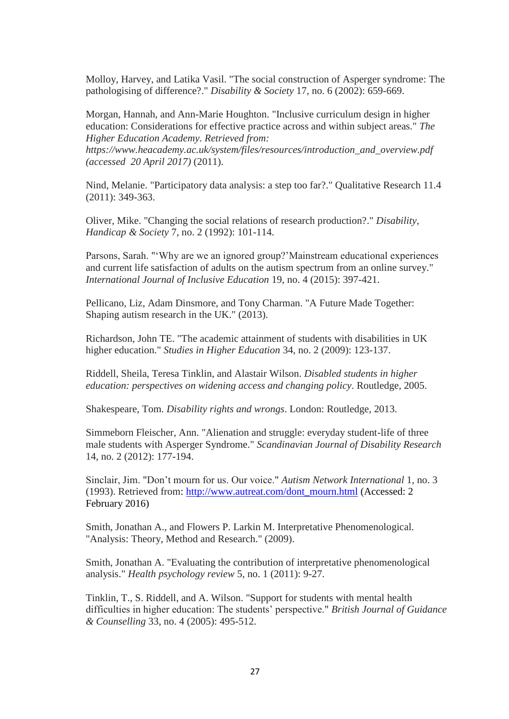Molloy, Harvey, and Latika Vasil. "The social construction of Asperger syndrome: The pathologising of difference?." *Disability & Society* 17, no. 6 (2002): 659-669.

Morgan, Hannah, and Ann-Marie Houghton. "Inclusive curriculum design in higher education: Considerations for effective practice across and within subject areas." *The Higher Education Academy. Retrieved from:* 

*https://www.heacademy.ac.uk/system/files/resources/introduction\_and\_overview.pdf (accessed 20 April 2017)* (2011).

Nind, Melanie. "Participatory data analysis: a step too far?." Qualitative Research 11.4 (2011): 349-363.

Oliver, Mike. "Changing the social relations of research production?." *Disability, Handicap & Society* 7, no. 2 (1992): 101-114.

Parsons, Sarah. "'Why are we an ignored group?'Mainstream educational experiences and current life satisfaction of adults on the autism spectrum from an online survey." *International Journal of Inclusive Education* 19, no. 4 (2015): 397-421.

Pellicano, Liz, Adam Dinsmore, and Tony Charman. "A Future Made Together: Shaping autism research in the UK." (2013).

Richardson, John TE. "The academic attainment of students with disabilities in UK higher education." *Studies in Higher Education* 34, no. 2 (2009): 123-137.

Riddell, Sheila, Teresa Tinklin, and Alastair Wilson. *Disabled students in higher education: perspectives on widening access and changing policy*. Routledge, 2005.

Shakespeare, Tom. *Disability rights and wrongs*. London: Routledge, 2013.

Simmeborn Fleischer, Ann. "Alienation and struggle: everyday student-life of three male students with Asperger Syndrome." *Scandinavian Journal of Disability Research* 14, no. 2 (2012): 177-194.

Sinclair, Jim. "Don't mourn for us. Our voice." *Autism Network International* 1, no. 3 (1993). Retrieved from: [http://www.autreat.com/dont\\_mourn.html](http://www.autreat.com/dont_mourn.html) (Accessed: 2 February 2016)

Smith, Jonathan A., and Flowers P. Larkin M. Interpretative Phenomenological. "Analysis: Theory, Method and Research." (2009).

Smith, Jonathan A. "Evaluating the contribution of interpretative phenomenological analysis." *Health psychology review* 5, no. 1 (2011): 9-27.

Tinklin, T., S. Riddell, and A. Wilson. "Support for students with mental health difficulties in higher education: The students' perspective." *British Journal of Guidance & Counselling* 33, no. 4 (2005): 495-512.